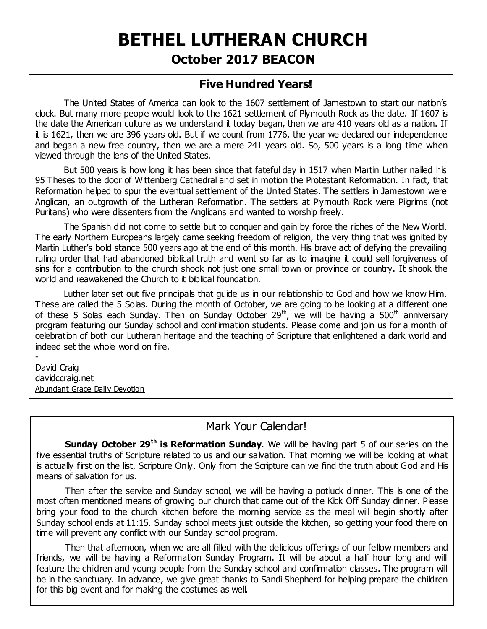# **BETHEL LUTHERAN CHURCH October 2017 BEACON**

# **Five Hundred Years!**

The United States of America can look to the 1607 settlement of Jamestown to start our nation's clock. But many more people would look to the 1621 settlement of Plymouth Rock as the date. If 1607 is the date the American culture as we understand it today began, then we are 410 years old as a nation. If it is 1621, then we are 396 years old. But if we count from 1776, the year we declared our independence and began a new free country, then we are a mere 241 years old. So, 500 years is a long time when viewed through the lens of the United States.

But 500 years is how long it has been since that fateful day in 1517 when Martin Luther nailed his 95 Theses to the door of Wittenberg Cathedral and set in motion the Protestant Reformation. In fact, that Reformation helped to spur the eventual settlement of the United States. The settlers in Jamestown were Anglican, an outgrowth of the Lutheran Reformation. The settlers at Plymouth Rock were Pilgrims (not Puritans) who were dissenters from the Anglicans and wanted to worship freely.

The Spanish did not come to settle but to conquer and gain by force the riches of the New World. The early Northern Europeans largely came seeking freedom of religion, the very thing that was ignited by Martin Luther's bold stance 500 years ago at the end of this month. His brave act of defying the prevailing ruling order that had abandoned biblical truth and went so far as to imagine it could sell forgiveness of sins for a contribution to the church shook not just one small town or province or country. It shook the world and reawakened the Church to it biblical foundation.

Luther later set out five principals that quide us in our relationship to God and how we know Him. These are called the 5 Solas. During the month of October, we are going to be looking at a different one of these 5 Solas each Sunday. Then on Sunday October 29<sup>th</sup>, we will be having a 500<sup>th</sup> anniversary program featuring our Sunday school and confirmation students. Please come and join us for a month of celebration of both our Lutheran heritage and the teaching of Scripture that enlightened a dark world and indeed set the whole world on fire.

David Craig davidccraig.net Abundant Grace Daily Devotion

-

#### Mark Your Calendar!

**Sunday October 29th is Reformation Sunday**. We will be having part 5 of our series on the five essential truths of Scripture related to us and our salvation. That morning we will be looking at what is actually first on the list, Scripture Only. Only from the Scripture can we find the truth about God and His means of salvation for us.

Then after the service and Sunday school, we will be having a potluck dinner. This is one of the most often mentioned means of growing our church that came out of the Kick Off Sunday dinner. Please bring your food to the church kitchen before the morning service as the meal will begin shortly after Sunday school ends at 11:15. Sunday school meets just outside the kitchen, so getting your food there on time will prevent any conflict with our Sunday school program.

Then that afternoon, when we are all filled with the delicious offerings of our fellow members and friends, we will be having a Reformation Sunday Program. It will be about a half hour long and will feature the children and young people from the Sunday school and confirmation classes. The program will be in the sanctuary. In advance, we give great thanks to Sandi Shepherd for helping prepare the children for this big event and for making the costumes as well.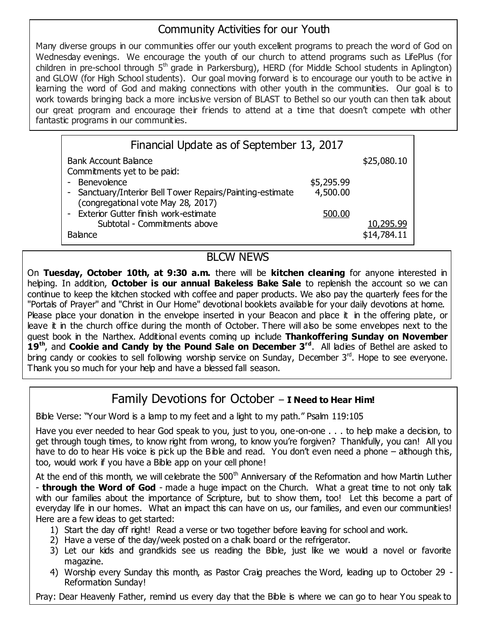# Community Activities for our Youth

Many diverse groups in our communities offer our youth excellent programs to preach the word of God on Wednesday evenings. We encourage the youth of our church to attend programs such as LifePlus (for children in pre-school through  $5<sup>th</sup>$  grade in Parkersburg), HERD (for Middle School students in Aplington) and GLOW (for High School students). Our goal moving forward is to encourage our youth to be active in learning the word of God and making connections with other youth in the communities. Our goal is to work towards bringing back a more inclusive version of BLAST to Bethel so our youth can then talk about our great program and encourage their friends to attend at a time that doesn't compete with other fantastic programs in our communities.

| \$25,080.10 |
|-------------|
|             |
|             |
|             |
|             |
|             |
| 10,295.99   |
| \$14,784.11 |
|             |

### BLCW NEWS

On **Tuesday, October 10th, at 9:30 a.m.** there will be **kitchen cleaning** for anyone interested in helping. In addition, **October is our annual Bakeless Bake Sale** to replenish the account so we can continue to keep the kitchen stocked with coffee and paper products. We also pay the quarterly fees for the "Portals of Prayer" and "Christ in Our Home" devotional booklets available for your daily devotions at home. Please place your donation in the envelope inserted in your Beacon and place it in the offering plate, or leave it in the church office during the month of October. There will also be some envelopes next to the guest book in the Narthex. Additional events coming up include **Thankoffering Sunday on November 19th**, and **Cookie and Candy by the Pound Sale on December 3rd**. All ladies of Bethel are asked to bring candy or cookies to sell following worship service on Sunday, December  $3<sup>rd</sup>$ . Hope to see everyone. Thank you so much for your help and have a blessed fall season.

# Family Devotions for October – **I Need to Hear Him!**

Bible Verse: "Your Word is a lamp to my feet and a light to my path." Psalm 119:105

Have you ever needed to hear God speak to you, just to you, one-on-one . . . to help make a decision, to get through tough times, to know right from wrong, to know you're forgiven? Thankfully, you can! All you have to do to hear His voice is pick up the Bible and read. You don't even need a phone – although this, too, would work if you have a Bible app on your cell phone!

At the end of this month, we will celebrate the  $500<sup>th</sup>$  Anniversary of the Reformation and how Martin Luther - **through the Word of God** - made a huge impact on the Church. What a great time to not only talk with our families about the importance of Scripture, but to show them, too! Let this become a part of everyday life in our homes. What an impact this can have on us, our families, and even our communities! Here are a few ideas to get started:

- 1) Start the day off right! Read a verse or two together before leaving for school and work.
- 2) Have a verse of the day/week posted on a chalk board or the refrigerator.

us! Amen.

- 3) Let our kids and grandkids see us reading the Bible, just like we would a novel or favorite magazine.
- 4) Worship every Sunday this month, as Pastor Craig preaches the Word, leading up to October 29 Reformation Sunday!

Pray: Dear Heavenly Father, remind us every day that the Bible is where we can go to hear You speak to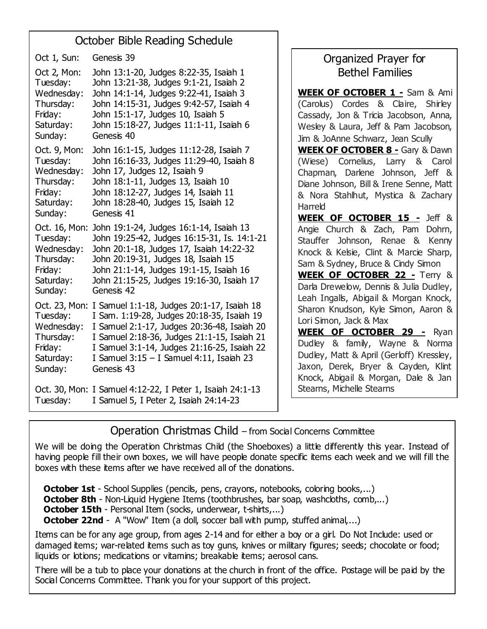### October Bible Reading Schedule

Anniversary List Thursday: John 14:15-31, Judges 9:42-57, Isaiah 4 Thank you Oct. 23, Mon: I Samuel 1:1-18, Judges 20:1-17, Isaiah 18 Oct 1, Sun: Genesis 39 Oct 2, Mon: John 13:1-20, Judges 8:22-35, Isaiah 1 Tuesday: John 13:21-38, Judges 9:1-21, Isaiah 2 Wednesday: John 14:1-14, Judges 9:22-41, Isaiah 3 Friday: John 15:1-17, Judges 10, Isaiah 5 Saturday: John 15:18-27, Judges 11:1-11, Isaiah 6 Sunday: Genesis 40 Oct. 9, Mon: John 16:1-15, Judges 11:12-28, Isaiah 7 Tuesday: John 16:16-33, Judges 11:29-40, Isaiah 8 Wednesday: John 17, Judges 12, Isaiah 9 Thursday: John 18:1-11, Judges 13, Isaiah 10 Friday: John 18:12-27, Judges 14, Isaiah 11 Saturday: John 18:28-40, Judges 15, Isaiah 12 Sunday: Genesis 41 Oct. 16, Mon: John 19:1-24, Judges 16:1-14, Isaiah 13 Tuesday: John 19:25-42, Judges 16:15-31, Is. 14:1-21 Wednesday: John 20:1-18, Judges 17, Isaiah 14:22-32 Thursday: John 20:19-31, Judges 18, Isaiah 15 Friday: John 21:1-14, Judges 19:1-15, Isaiah 16 Saturday: John 21:15-25, Judges 19:16-30, Isaiah 17 Sunday: Genesis 42 Tuesday: I Sam. 1:19-28, Judges 20:18-35, Isaiah 19 Wednesday: I Samuel 2:1-17, Judges 20:36-48, Isaiah 20 Thursday: I Samuel 2:18-36, Judges 21:1-15, Isaiah 21 Friday: I Samuel 3:1-14, Judges 21:16-25, Isaiah 22 Saturday: I Samuel 3:15 – I Samuel 4:11, Isaiah 23 Sunday: Genesis 43 Oct. 30, Mon: I Samuel 4:12-22, I Peter 1, Isaiah 24:1-13 Tuesday: I Samuel 5, I Peter 2, Isaiah 24:14-23

# Organized Prayer for Bethel Families

**WEEK OF OCTOBER 1 -** Sam & Ami (Carolus) Cordes & Claire, Shirley Cassady, Jon & Tricia Jacobson, Anna, Wesley & Laura, Jeff & Pam Jacobson, Jim & JoAnne Schwarz, Jean Scully **WEEK OF OCTOBER 8 -** Gary & Dawn (Wiese) Cornelius, Larry & Carol Chapman, Darlene Johnson, Jeff & Diane Johnson, Bill & Irene Senne, Matt & Nora Stahlhut, Mystica & Zachary

Harreld **WEEK OF OCTOBER 15 -** Jeff & Angie Church & Zach, Pam Dohrn, Stauffer Johnson, Renae & Kenny Knock & Kelsie, Clint & Marcie Sharp, Sam & Sydney, Bruce & Cindy Simon

**WEEK OF OCTOBER 22 -** Terry & Darla Drewelow, Dennis & Julia Dudley, Leah Ingalls, Abigail & Morgan Knock, Sharon Knudson, Kyle Simon, Aaron & Lori Simon, Jack & Max

**WEEK OF OCTOBER 29 -** Ryan Dudley & family, Wayne & Norma Dudley, Matt & April (Gerloff) Kressley, Jaxon, Derek, Bryer & Cayden, Klint Knock, Abigail & Morgan, Dale & Jan Stearns, Michelle Stearns

Operation Christmas Child – from Social Concerns Committee

We will be doing the Operation Christmas Child (the Shoeboxes) a little differently this year. Instead of having people fill their own boxes, we will have people donate specific items each week and we will fill the boxes with these items after we have received all of the donations.

**October 1st** - School Supplies (pencils, pens, crayons, notebooks, coloring books,...) **October 8th** - Non-Liquid Hygiene Items (toothbrushes, bar soap, washcloths, comb....) **October 15th** - Personal Item (socks, underwear, t-shirts,...) **October 22nd** - A "Wow" Item (a doll, soccer ball with pump, stuffed animal,...)

Items can be for any age group, from ages 2-14 and for either a boy or a girl. Do Not Include: used or damaged items; war-related items such as toy guns, knives or military figures; seeds; chocolate or food; liquids or lotions; medications or vitamins; breakable items; aerosol cans.

There will be a tub to place your donations at the church in front of the office. Postage will be paid by the Social Concerns Committee. Thank you for your support of this project.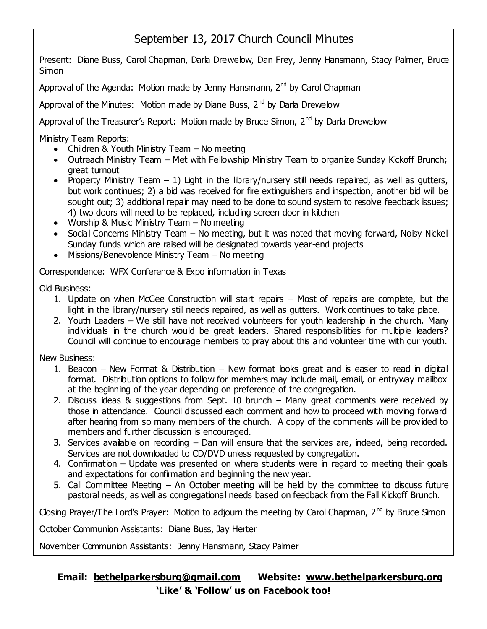# September 13, 2017 Church Council Minutes

Present: Diane Buss, Carol Chapman, Darla Drewelow, Dan Frey, Jenny Hansmann, Stacy Palmer, Bruce Simon

Approval of the Agenda: Motion made by Jenny Hansmann,  $2<sup>nd</sup>$  by Carol Chapman

Approval of the Minutes: Motion made by Diane Buss,  $2^{nd}$  by Darla Drewelow

Approval of the Treasurer's Report: Motion made by Bruce Simon, 2<sup>nd</sup> by Darla Drewelow

Ministry Team Reports:

- Children & Youth Ministry Team  $-$  No meeting
- Outreach Ministry Team Met with Fellowship Ministry Team to organize Sunday Kickoff Brunch; great turnout
- Property Ministry Team  $-1$ ) Light in the library/nursery still needs repaired, as well as gutters, but work continues; 2) a bid was received for fire extinguishers and inspection, another bid will be sought out; 3) additional repair may need to be done to sound system to resolve feedback issues; 4) two doors will need to be replaced, including screen door in kitchen
- Worship & Music Ministry Team No meeting
- Social Concerns Ministry Team No meeting, but it was noted that moving forward, Noisy Nickel Sunday funds which are raised will be designated towards year-end projects
- Missions/Benevolence Ministry Team No meeting

Correspondence: WFX Conference & Expo information in Texas

Old Business:

- 1. Update on when McGee Construction will start repairs Most of repairs are complete, but the light in the library/nursery still needs repaired, as well as gutters. Work continues to take place.
- 2. Youth Leaders We still have not received volunteers for youth leadership in the church. Many individuals in the church would be great leaders. Shared responsibilities for multiple leaders? Council will continue to encourage members to pray about this and volunteer time with our youth.

New Business:

- 1. Beacon New Format & Distribution New format looks great and is easier to read in digital format. Distribution options to follow for members may include mail, email, or entryway mailbox at the beginning of the year depending on preference of the congregation.
- 2. Discuss ideas & suggestions from Sept. 10 brunch Many great comments were received by those in attendance. Council discussed each comment and how to proceed with moving forward after hearing from so many members of the church. A copy of the comments will be provided to members and further discussion is encouraged.
- 3. Services available on recording Dan will ensure that the services are, indeed, being recorded. Services are not downloaded to CD/DVD unless requested by congregation.
- 4. Confirmation Update was presented on where students were in regard to meeting their goals and expectations for confirmation and beginning the new year.
- 5. Call Committee Meeting An October meeting will be held by the committee to discuss future pastoral needs, as well as congregational needs based on feedback from the Fall Kickoff Brunch.

Closing Prayer/The Lord's Prayer: Motion to adjourn the meeting by Carol Chapman,  $2^{nd}$  by Bruce Simon

October Communion Assistants: Diane Buss, Jay Herter

November Communion Assistants: Jenny Hansmann, Stacy Palmer

#### **Email: [bethelparkersburg@gmail.com](mailto:bethelparkersburg@gmail.com) Website: [www.bethelparkersburg.org](http://www.bethelparkersburg.org/) 'Like' & 'Follow' us on Facebook too!**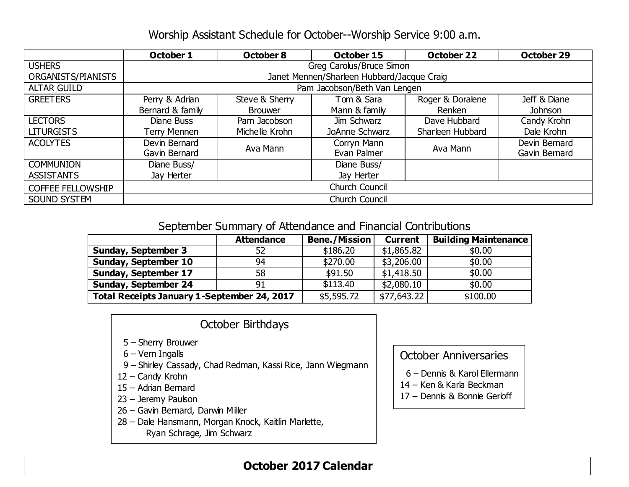### Worship Assistant Schedule for October--Worship Service 9:00 a.m.

|                          | October 1                                  | October 8      | October 15     | <b>October 22</b> | October 29    |  |  |
|--------------------------|--------------------------------------------|----------------|----------------|-------------------|---------------|--|--|
| <b>USHERS</b>            | Greg Carolus/Bruce Simon                   |                |                |                   |               |  |  |
| ORGANISTS/PIANISTS       | Janet Mennen/Sharleen Hubbard/Jacque Craig |                |                |                   |               |  |  |
| <b>ALTAR GUILD</b>       | Pam Jacobson/Beth Van Lengen               |                |                |                   |               |  |  |
| <b>GREETERS</b>          | Perry & Adrian                             | Steve & Sherry | Tom & Sara     | Roger & Doralene  | Jeff & Diane  |  |  |
|                          | Bernard & family                           | <b>Brouwer</b> | Mann & family  | Renken            | Johnson       |  |  |
| <b>LECTORS</b>           | Diane Buss                                 | Pam Jacobson   | Jim Schwarz    | Dave Hubbard      | Candy Krohn   |  |  |
| <b>LITURGISTS</b>        | Terry Mennen                               | Michelle Krohn | JoAnne Schwarz | Sharleen Hubbard  | Dale Krohn    |  |  |
| <b>ACOLYTES</b>          | Devin Bernard                              | Ava Mann       | Corryn Mann    | Ava Mann          | Devin Bernard |  |  |
|                          | Gavin Bernard                              |                | Evan Palmer    |                   | Gavin Bernard |  |  |
| <b>COMMUNION</b>         | Diane Buss/                                |                | Diane Buss/    |                   |               |  |  |
| <b>ASSISTANTS</b>        | Jay Herter                                 |                | Jay Herter     |                   |               |  |  |
| <b>COFFEE FELLOWSHIP</b> | <b>Church Council</b>                      |                |                |                   |               |  |  |
| SOUND SYSTEM             | <b>Church Council</b>                      |                |                |                   |               |  |  |

#### September Summary of Attendance and Financial Contributions

|                                             | <b>Attendance</b> | <b>Bene./Mission</b> | <b>Current</b> | <b>Building Maintenance</b> |
|---------------------------------------------|-------------------|----------------------|----------------|-----------------------------|
| <b>Sunday, September 3</b>                  | 52                | \$186.20             | \$1,865.82     | \$0.00                      |
| <b>Sunday, September 10</b>                 | 94                | \$270.00             | \$3,206.00     | \$0.00                      |
| <b>Sunday, September 17</b>                 | 58                | \$91.50              | \$1,418.50     | \$0.00                      |
| <b>Sunday, September 24</b>                 | 91                | \$113.40             | \$2,080.10     | \$0.00                      |
| Total Receipts January 1-September 24, 2017 | \$5,595.72        | \$77,643.22          | \$100.00       |                             |

#### October Birthdays

- 5 Sherry Brouwer
- 6 Vern Ingalls
- 9 Shirley Cassady, Chad Redman, Kassi Rice, Jann Wiegmann
- 12 Candy Krohn
- 15 Adrian Bernard
- 23 Jeremy Paulson
- 26 Gavin Bernard, Darwin Miller
- 28 Dale Hansmann, Morgan Knock, Kaitlin Marlette,

Ryan Schrage, Jim Schwarz

### October Anniversaries

- 6 Dennis & Karol Ellermann
- 14 Ken & Karla Beckman
- 17 Dennis & Bonnie Gerloff

### **October 2017 Calendar**